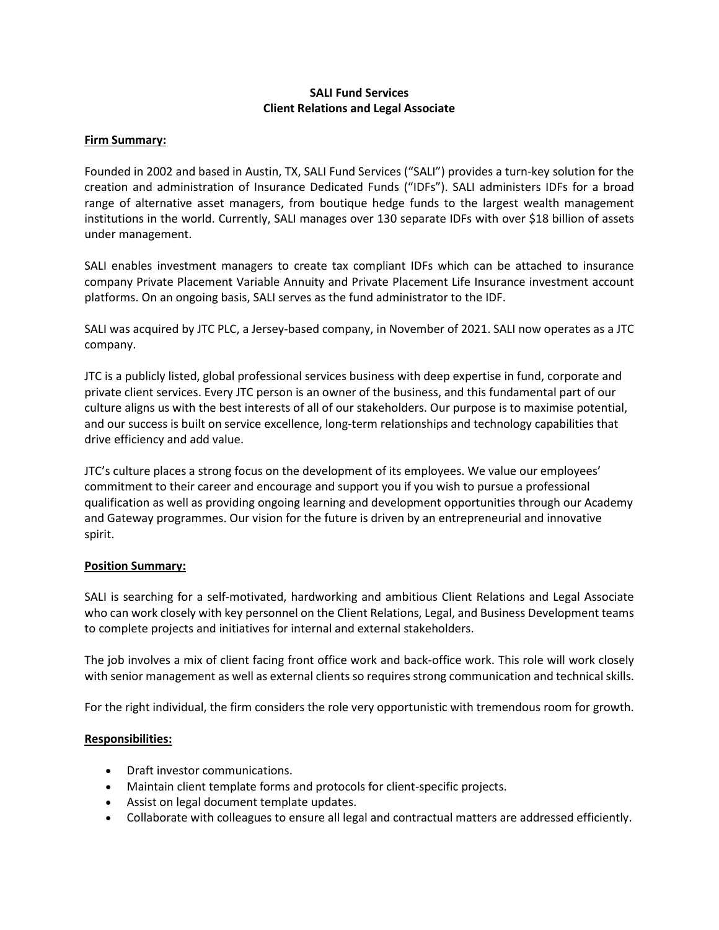## **SALI Fund Services Client Relations and Legal Associate**

#### **Firm Summary:**

Founded in 2002 and based in Austin, TX, SALI Fund Services ("SALI") provides a turn-key solution for the creation and administration of Insurance Dedicated Funds ("IDFs"). SALI administers IDFs for a broad range of alternative asset managers, from boutique hedge funds to the largest wealth management institutions in the world. Currently, SALI manages over 130 separate IDFs with over \$18 billion of assets under management.

SALI enables investment managers to create tax compliant IDFs which can be attached to insurance company Private Placement Variable Annuity and Private Placement Life Insurance investment account platforms. On an ongoing basis, SALI serves as the fund administrator to the IDF.

SALI was acquired by JTC PLC, a Jersey-based company, in November of 2021. SALI now operates as a JTC company.

JTC is a publicly listed, global professional services business with deep expertise in fund, corporate and private client services. Every JTC person is an owner of the business, and this fundamental part of our culture aligns us with the best interests of all of our stakeholders. Our purpose is to maximise potential, and our success is built on service excellence, long-term relationships and technology capabilities that drive efficiency and add value.

JTC's culture places a strong focus on the development of its employees. We value our employees' commitment to their career and encourage and support you if you wish to pursue a professional qualification as well as providing ongoing learning and development opportunities through our Academy and Gateway programmes. Our vision for the future is driven by an entrepreneurial and innovative spirit.

## **Position Summary:**

SALI is searching for a self-motivated, hardworking and ambitious Client Relations and Legal Associate who can work closely with key personnel on the Client Relations, Legal, and Business Development teams to complete projects and initiatives for internal and external stakeholders.

The job involves a mix of client facing front office work and back-office work. This role will work closely with senior management as well as external clients so requires strong communication and technical skills.

For the right individual, the firm considers the role very opportunistic with tremendous room for growth.

## **Responsibilities:**

- Draft investor communications.
- Maintain client template forms and protocols for client-specific projects.
- Assist on legal document template updates.
- Collaborate with colleagues to ensure all legal and contractual matters are addressed efficiently.